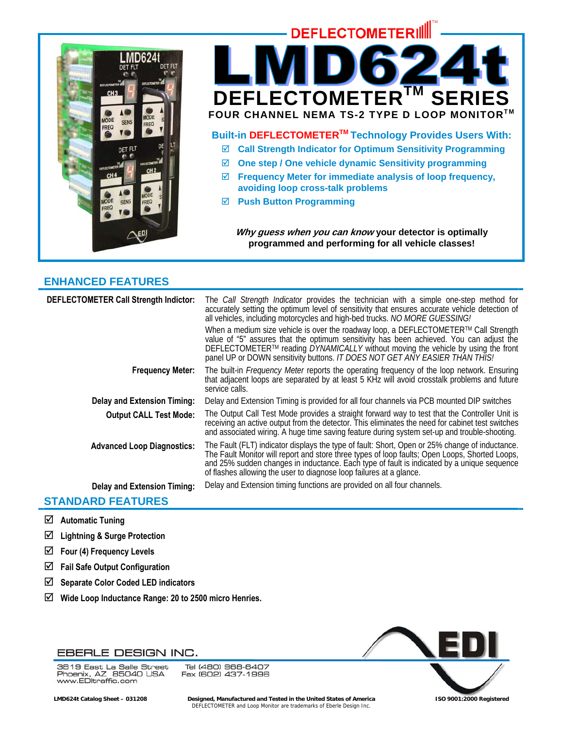



- ; **Call Strength Indicator for Optimum Sensitivity Programming**
- ; **One step / One vehicle dynamic Sensitivity programming**
- ; **Frequency Meter for immediate analysis of loop frequency, avoiding loop cross-talk problems**
- ; **Push Button Programming**

**Why guess when you can know your detector is optimally programmed and performing for all vehicle classes!** 

# **ENHANCED FEATURES**

| <b>DEFLECTOMETER Call Strength Indictor:</b> | The Call Strength Indicator provides the technician with a simple one-step method for<br>accurately setting the optimum level of sensitivity that ensures accurate vehicle detection of<br>all vehicles, including motorcycles and high-bed trucks. NO MORE GUESSING!<br>When a medium size vehicle is over the roadway loop, a DEFLECTOMETER™ Call Strength<br>value of "5" assures that the optimum sensitivity has been achieved. You can adjust the<br>DEFLECTOMETER™ reading DYNAMICALLY without moving the vehicle by using the front<br>panel UP or DOWN sensitivity buttons. IT DOES NOT GET ANY EASIER THAN THIS! |
|----------------------------------------------|----------------------------------------------------------------------------------------------------------------------------------------------------------------------------------------------------------------------------------------------------------------------------------------------------------------------------------------------------------------------------------------------------------------------------------------------------------------------------------------------------------------------------------------------------------------------------------------------------------------------------|
| <b>Frequency Meter:</b>                      | The built-in Frequency Meter reports the operating frequency of the loop network. Ensuring that adjacent loops are separated by at least 5 KHz will avoid crosstalk problems and future<br>service calls.                                                                                                                                                                                                                                                                                                                                                                                                                  |
| <b>Delay and Extension Timing:</b>           | Delay and Extension Timing is provided for all four channels via PCB mounted DIP switches                                                                                                                                                                                                                                                                                                                                                                                                                                                                                                                                  |
| <b>Output CALL Test Mode:</b>                | The Output Call Test Mode provides a straight forward way to test that the Controller Unit is<br>receiving an active output from the detector. This eliminates the need for cabinet test switches<br>and associated wiring. A huge time saving feature during system set-up and trouble-shooting.                                                                                                                                                                                                                                                                                                                          |
| <b>Advanced Loop Diagnostics:</b>            | The Fault (FLT) indicator displays the type of fault: Short, Open or 25% change of inductance.<br>The Fault Monitor will report and store three types of loop faults; Open Loops, Shorted Loops,<br>and 25% sudden changes in inductance. Each type of fault is indicated by a unique sequence<br>of flashes allowing the user to diagnose loop failures at a glance.                                                                                                                                                                                                                                                      |
| <b>Delay and Extension Timing:</b>           | Delay and Extension timing functions are provided on all four channels.                                                                                                                                                                                                                                                                                                                                                                                                                                                                                                                                                    |

# **STANDARD FEATURES**

- ; **Automatic Tuning**
- ; **Lightning & Surge Protection**
- ; **Four (4) Frequency Levels**
- ; **Fail Safe Output Configuration**
- ; **Separate Color Coded LED indicators**
- ; **Wide Loop Inductance Range: 20 to 2500 micro Henries.**



3819 East La Salle Street So To East La Salle Street<br>Phoenix, AZ 85040 USA<br>www.EDltraffic.com

Tel (480) 968-6407 Fax (602) 437-1996



 **LMD624t Catalog Sheet – 031208 Designed, Manufactured and Tested in the United States of America ISO 9001:2000 Registered**  DEFLECTOMETER and Loop Monitor are trademarks of Eberle Design Inc.